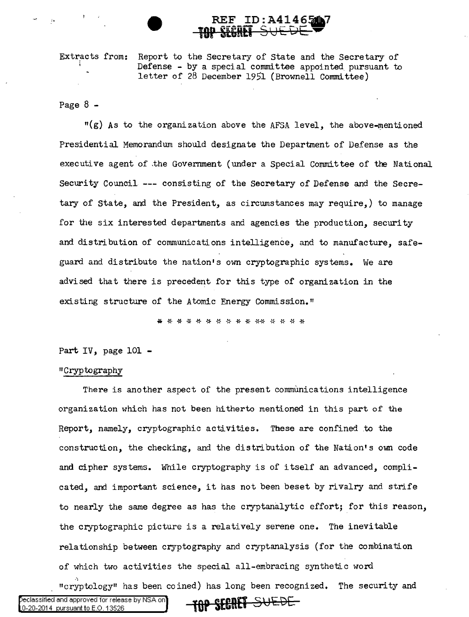Extracts from: i Report to the Secretary of State and the Secretary of Defense - by a special committee appointed pursuant to letter of 28 December 1951 (Brownell Committee)

**REF ID:A414651** 

Page  $8 -$ 

"(g) As to the organization above the AFSA level, the above-mentioned Presidential Memorandum should designate the Department of Defense as the executive agent of ,the Government (under a Special Committee of the National Security Council --- consisting of the Secretary of Defense and the Secretary of State, and the President, as circumstances may require,) to manage for the six interested departments and agencies the production, security and distribution of communications intelligence, and to manufacture, safeguard and distribute the nation's own cryptographic systems. We are advised that there is precedent for this type of organization in the existing structure of the Atomic Energy Commission."

\* \* \* \* \* \* \* \* \* \* \* \* \* \* \* \*

Part IV, page 101 -

## 11 Cryptography

There is another aspect of the present communications intelligence organization which has not been hitherto mentioned in this part of the Report, namely, cryptographic activities. These are confined to the construction, the checking, and the distribution of the Nation's own code and cipher systems. While cryptography is of itself an advanced, complicated, and important science, it has not been beset by rivalry and strife to nearly the same degree as has the cryptanalytic effort; for this reason, the cryptographic picture is a relatively serene one. The inevitable relationship between cryptography and cryptanalysis (for the combination of which two activities the special all-embracing synthetic word "cryptology" has been coined) has long been recognized. The security and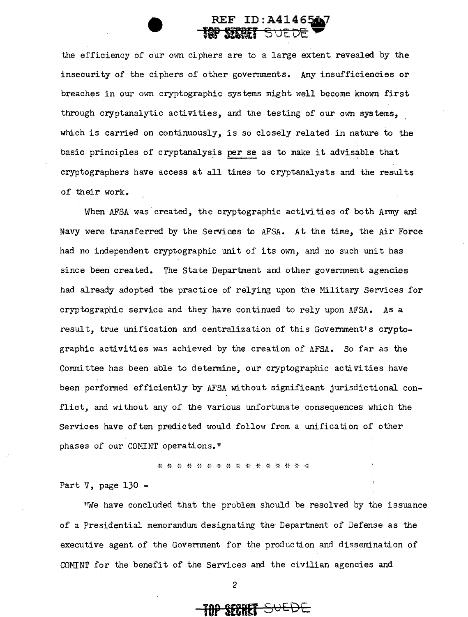## REF ID: A414 **for SERREF** SUEDE

the efficiency of our own ciphers are to a large extent revealed by the insecurity of the ciphers of other governments. Any insufficiencies or breaches in our own cryptographic systems might well become known first through cryptanalytic activities, and the testing of our own systems, , which is carried on continuously, is so closely related in nature to the basic principles of cryptanalysis per se as to make it advisable that cryptographers have access at all times to cryptanalysts and the results of their work.

When AFSA was created, the cryptographic activities of both Army and Navy were transferred by the Services to AFSA. At the time, the Air Force had no independent cryptographic unit of its own, and no such unit has since been created. The State Department and other government agencies had already adopted the practice of relying upon the Military Services for cryptographic service and they have continued to rely upon AFSA. As a result, true unification and centralization of this Government's cryptographic activities was achieved by the creation of AFSA. So far as the Committee has been able to determine, our cryptographic activities have been perfonned efficiently by AFSA without significant jurisdictional conflict, and without any of the various unfortunate consequences which the Services have often predicted would follow from a unification of other phases of our COMINT operations."

\* \* \* \* \* \* \* \* \* \* \* \* \* \* \* \*

Part  $V$ , page 130 -

"We have concluded that the problem should be resolved by the issuance of a Presidential memorandum designating the Department of Defense as the executive agent of the Government for the production and dissemination of COMINT for the benefit of the Services and the civilian agencies and

**TOP SRRff** 51JEDE: